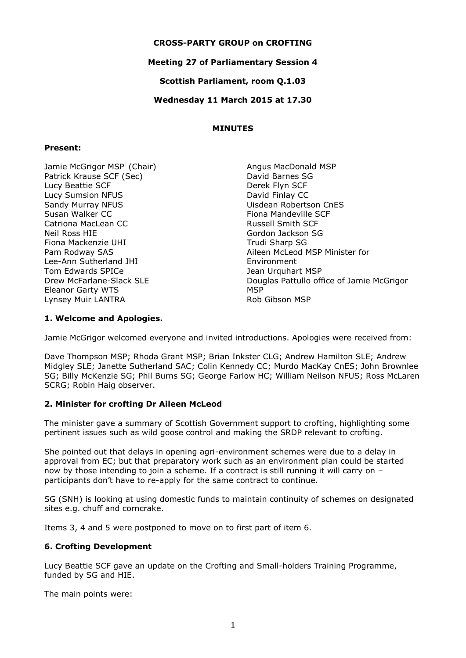#### **CROSS-PARTY GROUP on CROFTING**

# **Meeting 27 of Parliamentary Session 4**

**Scottish Parliament, room Q.1.03**

#### **Wednesday 11 March 2015 at 17.30**

#### **MINUTES**

#### **Present:**

Jamie McGrigor MSP<sup>i</sup> (Chair) Patrick Krause SCF (Sec) Lucy Beattie SCF Lucy Sumsion NFUS Sandy Murray NFUS Susan Walker CC Catriona MacLean CC Neil Ross HIE Fiona Mackenzie UHI Pam Rodway SAS Lee-Ann Sutherland JHI Tom Edwards SPICe Drew McFarlane-Slack SLE Eleanor Garty WTS Lynsey Muir LANTRA

Angus MacDonald MSP David Barnes SG Derek Flyn SCF David Finlay CC Uisdean Robertson CnES Fiona Mandeville SCF Russell Smith SCF Gordon Jackson SG Trudi Sharp SG Aileen McLeod MSP Minister for Environment Jean Urquhart MSP Douglas Pattullo office of Jamie McGrigor **MSP** Rob Gibson MSP

# **1. Welcome and Apologies.**

Jamie McGrigor welcomed everyone and invited introductions. Apologies were received from:

Dave Thompson MSP; Rhoda Grant MSP; Brian Inkster CLG; Andrew Hamilton SLE; Andrew Midgley SLE; Janette Sutherland SAC; Colin Kennedy CC; Murdo MacKay CnES; John Brownlee SG; Billy McKenzie SG; Phil Burns SG; George Farlow HC; William Neilson NFUS; Ross McLaren SCRG; Robin Haig observer.

# **2. Minister for crofting Dr Aileen McLeod**

The minister gave a summary of Scottish Government support to crofting, highlighting some pertinent issues such as wild goose control and making the SRDP relevant to crofting.

She pointed out that delays in opening agri-environment schemes were due to a delay in approval from EC; but that preparatory work such as an environment plan could be started now by those intending to join a scheme. If a contract is still running it will carry on – participants don't have to re-apply for the same contract to continue.

SG (SNH) is looking at using domestic funds to maintain continuity of schemes on designated sites e.g. chuff and corncrake.

Items 3, 4 and 5 were postponed to move on to first part of item 6.

# **6. Crofting Development**

Lucy Beattie SCF gave an update on the Crofting and Small-holders Training Programme, funded by SG and HIE.

The main points were: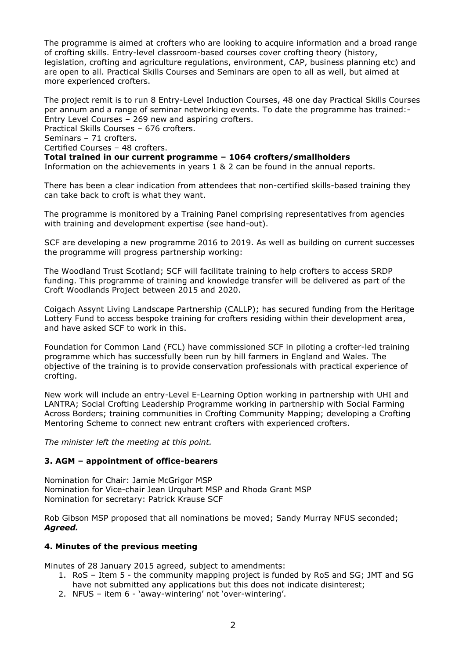The programme is aimed at crofters who are looking to acquire information and a broad range of crofting skills. Entry-level classroom-based courses cover crofting theory (history, legislation, crofting and agriculture regulations, environment, CAP, business planning etc) and are open to all. Practical Skills Courses and Seminars are open to all as well, but aimed at more experienced crofters.

The project remit is to run 8 Entry-Level Induction Courses, 48 one day Practical Skills Courses per annum and a range of seminar networking events. To date the programme has trained:- Entry Level Courses – 269 new and aspiring crofters.

Practical Skills Courses – 676 crofters.

Seminars – 71 crofters.

Certified Courses – 48 crofters.

**Total trained in our current programme – 1064 crofters/smallholders**

Information on the achievements in years 1 & 2 can be found in the annual reports.

There has been a clear indication from attendees that non-certified skills-based training they can take back to croft is what they want.

The programme is monitored by a Training Panel comprising representatives from agencies with training and development expertise (see hand-out).

SCF are developing a new programme 2016 to 2019. As well as building on current successes the programme will progress partnership working:

The Woodland Trust Scotland; SCF will facilitate training to help crofters to access SRDP funding. This programme of training and knowledge transfer will be delivered as part of the Croft Woodlands Project between 2015 and 2020.

Coigach Assynt Living Landscape Partnership (CALLP); has secured funding from the Heritage Lottery Fund to access bespoke training for crofters residing within their development area, and have asked SCF to work in this.

Foundation for Common Land (FCL) have commissioned SCF in piloting a crofter-led training programme which has successfully been run by hill farmers in England and Wales. The objective of the training is to provide conservation professionals with practical experience of crofting.

New work will include an entry-Level E-Learning Option working in partnership with UHI and LANTRA; Social Crofting Leadership Programme working in partnership with Social Farming Across Borders; training communities in Crofting Community Mapping; developing a Crofting Mentoring Scheme to connect new entrant crofters with experienced crofters.

*The minister left the meeting at this point.*

# **3. AGM – appointment of office-bearers**

Nomination for Chair: Jamie McGrigor MSP Nomination for Vice-chair Jean Urquhart MSP and Rhoda Grant MSP Nomination for secretary: Patrick Krause SCF

Rob Gibson MSP proposed that all nominations be moved; Sandy Murray NFUS seconded; *Agreed.*

# **4. Minutes of the previous meeting**

Minutes of 28 January 2015 agreed, subject to amendments:

- 1. RoS Item 5 the community mapping project is funded by RoS and SG; JMT and SG have not submitted any applications but this does not indicate disinterest;
- 2. NFUS item 6 'away-wintering' not 'over-wintering'.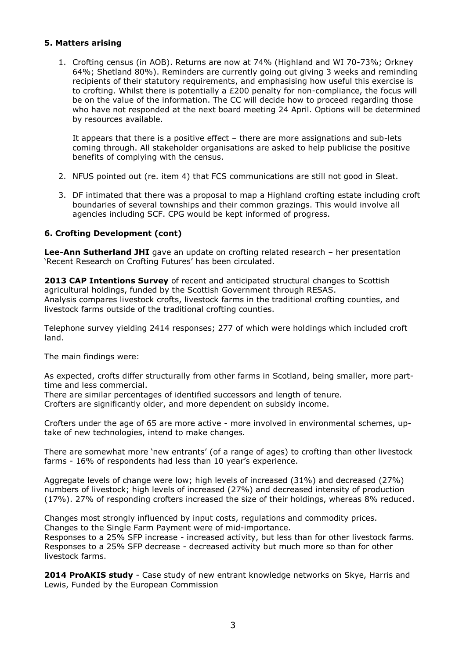#### **5. Matters arising**

1. Crofting census (in AOB). Returns are now at 74% (Highland and WI 70-73%; Orkney 64%; Shetland 80%). Reminders are currently going out giving 3 weeks and reminding recipients of their statutory requirements, and emphasising how useful this exercise is to crofting. Whilst there is potentially a £200 penalty for non-compliance, the focus will be on the value of the information. The CC will decide how to proceed regarding those who have not responded at the next board meeting 24 April. Options will be determined by resources available.

It appears that there is a positive effect – there are more assignations and sub-lets coming through. All stakeholder organisations are asked to help publicise the positive benefits of complying with the census.

- 2. NFUS pointed out (re. item 4) that FCS communications are still not good in Sleat.
- 3. DF intimated that there was a proposal to map a Highland crofting estate including croft boundaries of several townships and their common grazings. This would involve all agencies including SCF. CPG would be kept informed of progress.

#### **6. Crofting Development (cont)**

**Lee-Ann Sutherland JHI** gave an update on crofting related research – her presentation 'Recent Research on Crofting Futures' has been circulated.

**2013 CAP Intentions Survey** of recent and anticipated structural changes to Scottish agricultural holdings, funded by the Scottish Government through RESAS. Analysis compares livestock crofts, livestock farms in the traditional crofting counties, and livestock farms outside of the traditional crofting counties.

Telephone survey yielding 2414 responses; 277 of which were holdings which included croft land.

The main findings were:

As expected, crofts differ structurally from other farms in Scotland, being smaller, more parttime and less commercial.

There are similar percentages of identified successors and length of tenure.

Crofters are significantly older, and more dependent on subsidy income.

Crofters under the age of 65 are more active - more involved in environmental schemes, uptake of new technologies, intend to make changes.

There are somewhat more 'new entrants' (of a range of ages) to crofting than other livestock farms - 16% of respondents had less than 10 year's experience.

Aggregate levels of change were low; high levels of increased (31%) and decreased (27%) numbers of livestock; high levels of increased (27%) and decreased intensity of production (17%). 27% of responding crofters increased the size of their holdings, whereas 8% reduced.

Changes most strongly influenced by input costs, regulations and commodity prices. Changes to the Single Farm Payment were of mid-importance.

Responses to a 25% SFP increase - increased activity, but less than for other livestock farms. Responses to a 25% SFP decrease - decreased activity but much more so than for other livestock farms.

**2014 ProAKIS study** - Case study of new entrant knowledge networks on Skye, Harris and Lewis, Funded by the European Commission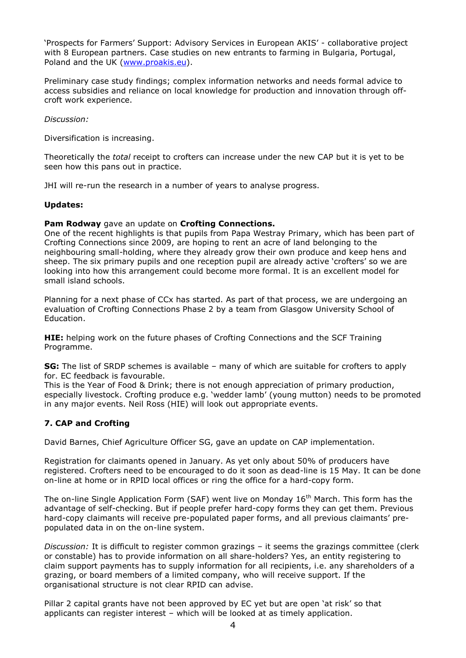'Prospects for Farmers' Support: Advisory Services in European AKIS' - collaborative project with 8 European partners. Case studies on new entrants to farming in Bulgaria, Portugal, Poland and the UK [\(www.proakis.eu\)](http://www.proakis.eu/).

Preliminary case study findings; complex information networks and needs formal advice to access subsidies and reliance on local knowledge for production and innovation through offcroft work experience.

*Discussion:*

Diversification is increasing.

Theoretically the *total* receipt to crofters can increase under the new CAP but it is yet to be seen how this pans out in practice.

JHI will re-run the research in a number of years to analyse progress.

#### **Updates:**

#### **Pam Rodway** gave an update on **Crofting Connections.**

One of the recent highlights is that pupils from Papa Westray Primary, which has been part of Crofting Connections since 2009, are hoping to rent an acre of land belonging to the neighbouring small-holding, where they already grow their own produce and keep hens and sheep. The six primary pupils and one reception pupil are already active 'crofters' so we are looking into how this arrangement could become more formal. It is an excellent model for small island schools.

Planning for a next phase of CCx has started. As part of that process, we are undergoing an evaluation of Crofting Connections Phase 2 by a team from Glasgow University School of Education.

**HIE:** helping work on the future phases of Crofting Connections and the SCF Training Programme.

**SG:** The list of SRDP schemes is available – many of which are suitable for crofters to apply for. EC feedback is favourable.

This is the Year of Food & Drink; there is not enough appreciation of primary production, especially livestock. Crofting produce e.g. 'wedder lamb' (young mutton) needs to be promoted in any major events. Neil Ross (HIE) will look out appropriate events.

# **7. CAP and Crofting**

David Barnes, Chief Agriculture Officer SG, gave an update on CAP implementation.

Registration for claimants opened in January. As yet only about 50% of producers have registered. Crofters need to be encouraged to do it soon as dead-line is 15 May. It can be done on-line at home or in RPID local offices or ring the office for a hard-copy form.

The on-line Single Application Form (SAF) went live on Monday  $16<sup>th</sup>$  March. This form has the advantage of self-checking. But if people prefer hard-copy forms they can get them. Previous hard-copy claimants will receive pre-populated paper forms, and all previous claimants' prepopulated data in on the on-line system.

*Discussion:* It is difficult to register common grazings – it seems the grazings committee (clerk or constable) has to provide information on all share-holders? Yes, an entity registering to claim support payments has to supply information for all recipients, i.e. any shareholders of a grazing, or board members of a limited company, who will receive support. If the organisational structure is not clear RPID can advise.

Pillar 2 capital grants have not been approved by EC yet but are open 'at risk' so that applicants can register interest – which will be looked at as timely application.